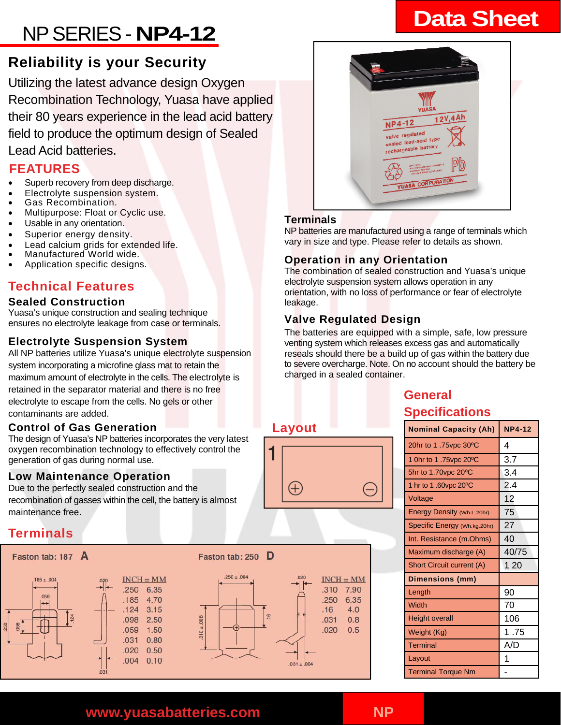# **Data Sheet** NP SERIES - **NP4-12**

# **Reliability is your Security**

Utilizing the latest advance design Oxygen Recombination Technology, Yuasa have applied their 80 years experience in the lead acid battery field to produce the optimum design of Sealed Lead Acid batteries.

# **FEATURES**

- Superb recovery from deep discharge.
- Electrolyte suspension system.
- Gas Recombination.
- Multipurpose: Float or Cyclic use.
- Usable in any orientation.
- Superior energy density.
- Lead calcium grids for extended life.
- Manufactured World wide.
- Application specific designs.

# **Technical Features**

### **Sealed Construction**

Yuasa's unique construction and sealing technique ensures no electrolyte leakage from case or terminals.

### **Electrolyte Suspension System**

All NP batteries utilize Yuasa's unique electrolyte suspension system incorporating a microfine glass mat to retain the maximum amount of electrolyte in the cells. The electrolyte is retained in the separator material and there is no free electrolyte to escape from the cells. No gels or other contaminants are added.

### **Control of Gas Generation**

The design of Yuasa's NP batteries incorporates the very latest oxygen recombination technology to effectively control the generation of gas during normal use.

### **Low Maintenance Operation**

Due to the perfectly sealed construction and the recombination of gasses within the cell, the battery is almost maintenance free.

# **Terminals**

### Faston tab: 187 A









**Layout** 

Æ

# $12V,4Ah$ **NP4-12** valve regulated sealed lead-acid type sealed lead-actery

# **Terminals**

NP batteries are manufactured using a range of terminals which vary in size and type. Please refer to details as shown.

# **Operation in any Orientation**

The combination of sealed construction and Yuasa's unique electrolyte suspension system allows operation in any orientation, with no loss of performance or fear of electrolyte leakage.

# **Valve Regulated Design**

The batteries are equipped with a simple, safe, low pressure venting system which releases excess gas and automatically reseals should there be a build up of gas within the battery due to severe overcharge. Note. On no account should the battery be charged in a sealed container.

# **General Specifications**

| <b>Nominal Capacity (Ah)</b>       | <b>NP4-12</b> |
|------------------------------------|---------------|
| 20hr to 1.75vpc 30°C               | 4             |
| 1 0hr to 1.75vpc 20 <sup>o</sup> C | 3.7           |
| 5hr to 1.70vpc 20°C                | 3.4           |
| 1 hr to 1.60 vpc 20 °C             | 2.4           |
| Voltage                            | 12            |
| <b>Energy Density (Wh.L.20hr)</b>  | 75            |
| Specific Energy (Wh.kg.20hr)       | 27            |
| Int. Resistance (m.Ohms)           | 40            |
| Maximum discharge (A)              | 40/75         |
| <b>Short Circuit current (A)</b>   | 120           |
| <b>Dimensions (mm)</b>             |               |
| Length                             | 90            |
| Width                              | 70            |
| <b>Height overall</b>              | 106           |
| Weight (Kg)                        | 1.75          |
| <b>Terminal</b>                    | A/D           |
| Layout                             |               |
| <b>Terminal Torque Nm</b>          |               |

**www.yuasabatteries.com NP**